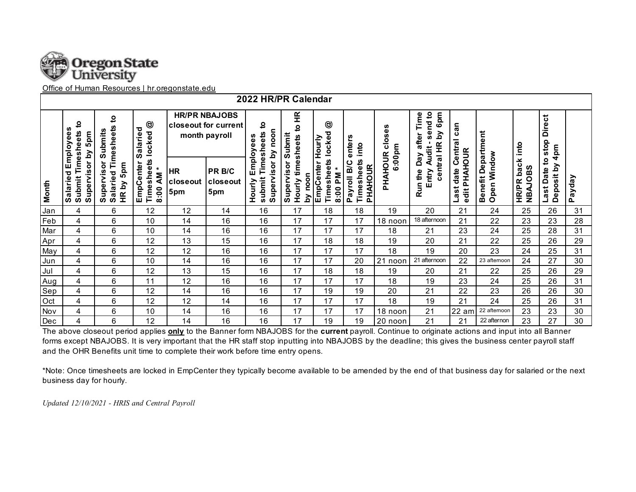

Office of Human Resources | hr.oregonstate.edu

| 2022 HR/PR Calendar |                                               |                                                                                 |                                                                                         |                                                               |                           |                                                   |                                   |                                           |                                             |                         |                                                                      |                                   |                                   |                                             |                                          |        |
|---------------------|-----------------------------------------------|---------------------------------------------------------------------------------|-----------------------------------------------------------------------------------------|---------------------------------------------------------------|---------------------------|---------------------------------------------------|-----------------------------------|-------------------------------------------|---------------------------------------------|-------------------------|----------------------------------------------------------------------|-----------------------------------|-----------------------------------|---------------------------------------------|------------------------------------------|--------|
|                     | <u>۽</u><br>Timesheets<br>5pm                 | <u>۽</u><br><b>Salaried Timesheets</b><br>Submits<br>Supervisor<br>5pm<br>HR by | $^{\circledR}$<br>Salaried<br>locked<br>Timesheets<br>EmpCenter<br>$\star$<br>Μ<br>8:00 | <b>HR/PR NBAJOBS</b><br>closeout for current<br>month payroll |                           | ₽<br>Employees                                    | E<br>₽<br>Submit<br>timesheets    | $\circledcirc$<br>locked                  | enters<br>into                              | ses<br>ق<br>ت<br>6:00pm | 6pm<br>send to<br>Time<br>$\mathbf{\Sigma}$<br>after<br><b>Audit</b> | $\mathsf{can}$                    |                                   | into                                        | <b>Direct</b><br>stop<br>4 <sub>pm</sub> |        |
| Month               | Salaried Employees<br>Supervisor by<br>Submit |                                                                                 |                                                                                         | <b>HR</b><br>closeout<br>5pm                                  | PR B/C<br>closeout<br>5pm | Supervisor by noon<br>submit Timesheets<br>Hourly | Supervisor<br>noon<br>N<br>Hourly | EmpCenter Hourly<br>Timesheets<br>8:00 PM | Timesheets<br>Payroll B/C<br><b>PHAHOUR</b> | PHAHOUR                 | central HR<br>Day<br>Entry<br>Run the                                | Last date Central<br>edit PHAHOUR | Benefit Department<br>Open Window | ×<br>bacl<br><b>NBAJOBS</b><br><b>HR/PR</b> | 2<br>Deposit by<br>Last Date             | Payday |
| Jan                 | 4                                             | 6                                                                               | 12                                                                                      | 12                                                            | 14                        | 16                                                | 17                                | 18                                        | 18                                          | 19                      | 20                                                                   | 21                                | 24                                | 25                                          | 26                                       | 31     |
| Feb                 | 4                                             | 6                                                                               | 10                                                                                      | 14                                                            | 16                        | 16                                                | 17                                | 17                                        | 17                                          | 18 noon                 | 18 afternoon                                                         | 21                                | 22                                | 23                                          | 23                                       | 28     |
| Mar                 | 4                                             | 6                                                                               | 10                                                                                      | 14                                                            | 16                        | 16                                                | 17                                | 17                                        | 17                                          | 18                      | 21                                                                   | 23                                | 24                                | 25                                          | 28                                       | 31     |
| Apr                 | 4                                             | 6                                                                               | 12                                                                                      | 13                                                            | 15                        | 16                                                | 17                                | 18                                        | 18                                          | 19                      | 20                                                                   | 21                                | 22                                | 25                                          | 26                                       | 29     |
| May                 | 4                                             | 6                                                                               | 12                                                                                      | 12                                                            | 16                        | 16                                                | 17                                | 17                                        | 17                                          | 18                      | 19                                                                   | 20                                | 23                                | 24                                          | 25                                       | 31     |
| Jun                 | 4                                             | 6                                                                               | 10                                                                                      | 14                                                            | 16                        | 16                                                | 17                                | 17                                        | 20                                          | 21<br>noon              | 21 afternoon                                                         | 22                                | 23 afternoon                      | 24                                          | 27                                       | 30     |
| Jul                 | 4                                             | 6                                                                               | 12                                                                                      | 13                                                            | 15                        | 16                                                | 17                                | 18                                        | 18                                          | 19                      | 20                                                                   | 21                                | 22                                | 25                                          | 26                                       | 29     |
| Aug                 | 4                                             | 6                                                                               | 11                                                                                      | 12                                                            | 16                        | 16                                                | 17                                | 17                                        | 17                                          | 18                      | 19                                                                   | 23                                | 24                                | 25                                          | 26                                       | 31     |
| Sep                 | 4                                             | 6                                                                               | 12                                                                                      | 14                                                            | 16                        | 16                                                | 17                                | 19                                        | 19                                          | 20                      | 21                                                                   | 22                                | 23                                | 26                                          | 26                                       | 30     |
| Oct                 | 4                                             | 6                                                                               | 12                                                                                      | 12                                                            | 14                        | 16                                                | 17                                | 17                                        | 17                                          | 18                      | 19                                                                   | 21                                | 24                                | 25                                          | 26                                       | 31     |
| Nov                 | 4                                             | 6                                                                               | 10                                                                                      | 14                                                            | 16                        | 16                                                | 17                                | 17                                        | 17                                          | 18 noon                 | 21                                                                   | $22$ am                           | 22 afternoon                      | 23                                          | 23                                       | 30     |
| Dec                 | 4                                             | 6                                                                               | 12                                                                                      | 14                                                            | 16                        | 16                                                | 17                                | 19                                        | 19                                          | 20 noon                 | 21                                                                   | 21                                | 22 afternon                       | 23                                          | 27                                       | 30     |

The above closeout period applies **only** to the Banner form NBAJOBS for the **current** payroll. Continue to originate actions and input into all Banner forms except NBAJOBS. It is very important that the HR staff stop inputting into NBAJOBS by the deadline; this gives the business center payroll staff and the OHR Benefits unit time to complete their work before time entry opens.

\*Note: Once timesheets are locked in EmpCenter they typically become available to be amended by the end of that business day for salaried or the next business day for hourly.

*Updated 12/10/2021 - HRIS and Central Payroll*